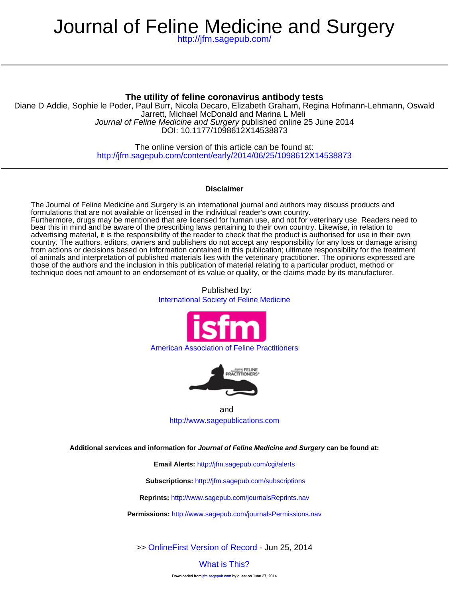# Journal of Feline Medicine and Surgery

<http://jfm.sagepub.com/>

# **The utility of feline coronavirus antibody tests**

DOI: 10.1177/1098612X14538873 Journal of Feline Medicine and Surgery published online 25 June 2014 Jarrett, Michael McDonald and Marina L Meli Diane D Addie, Sophie le Poder, Paul Burr, Nicola Decaro, Elizabeth Graham, Regina Hofmann-Lehmann, Oswald

> <http://jfm.sagepub.com/content/early/2014/06/25/1098612X14538873> The online version of this article can be found at:

# **Disclaimer**

technique does not amount to an endorsement of its value or quality, or the claims made by its manufacturer. those of the authors and the inclusion in this publication of material relating to a particular product, method or of animals and interpretation of published materials lies with the veterinary practitioner. The opinions expressed are from actions or decisions based on information contained in this publication; ultimate responsibility for the treatment country. The authors, editors, owners and publishers do not accept any responsibility for any loss or damage arising advertising material, it is the responsibility of the reader to check that the product is authorised for use in their own bear this in mind and be aware of the prescribing laws pertaining to their own country. Likewise, in relation to Furthermore, drugs may be mentioned that are licensed for human use, and not for veterinary use. Readers need to formulations that are not available or licensed in the individual reader's own country. The Journal of Feline Medicine and Surgery is an international journal and authors may discuss products and

> Published by: [International Society of Feline Medicine](http://www.isfm.net/)



[American Association of Feline Practitioners](http://www.catvets.com/)



and <http://www.sagepublications.com>

**Additional services and information for Journal of Feline Medicine and Surgery can be found at:**

**Email Alerts:** <http://jfm.sagepub.com/cgi/alerts>

**Subscriptions:** <http://jfm.sagepub.com/subscriptions>

**Reprints:** <http://www.sagepub.com/journalsReprints.nav>

**Permissions:** <http://www.sagepub.com/journalsPermissions.nav>

>> [OnlineFirst Version of Record -](http://jfm.sagepub.com/content/early/2014/06/25/1098612X14538873.full.pdf) Jun 25, 2014

# [What is This?](http://online.sagepub.com/site/sphelp/vorhelp.xhtml)

wnloaded from [jfm.sagepub.com](http://jfm.sagepub.com/) by guest on June 27, 2014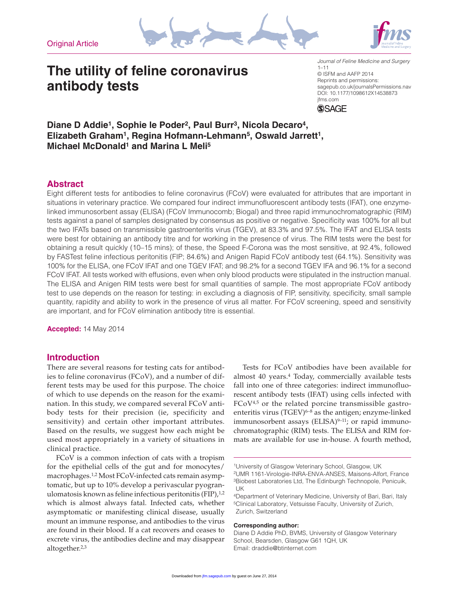**Original Article** 





# **The utility of feline coronavirus antibody tests**

*Journal of Feline Medicine and Surgery*  $1 - 11$ © ISFM and AAFP 2014 Reprints and permissions: sagepub.co.uk/journalsPermissions.nav DOI: 10.1177/1098612X14538873 ifms.com

**SSAGE** 

**Diane D Addie1, Sophie le Poder2, Paul Burr3, Nicola Decaro4, Elizabeth Graham1, Regina Hofmann-Lehmann5, Oswald Jarrett1, Michael McDonald1 and Marina L Meli5**

# **Abstract**

Eight different tests for antibodies to feline coronavirus (FCoV) were evaluated for attributes that are important in situations in veterinary practice. We compared four indirect immunofluorescent antibody tests (IFAT), one enzymelinked immunosorbent assay (ELISA) (FCoV Immunocomb; Biogal) and three rapid immunochromatographic (RIM) tests against a panel of samples designated by consensus as positive or negative. Specificity was 100% for all but the two IFATs based on transmissible gastroenteritis virus (TGEV), at 83.3% and 97.5%. The IFAT and ELISA tests were best for obtaining an antibody titre and for working in the presence of virus. The RIM tests were the best for obtaining a result quickly (10–15 mins); of these, the Speed F-Corona was the most sensitive, at 92.4%, followed by FASTest feline infectious peritonitis (FIP; 84.6%) and Anigen Rapid FCoV antibody test (64.1%). Sensitivity was 100% for the ELISA, one FCoV IFAT and one TGEV IFAT; and 98.2% for a second TGEV IFA and 96.1% for a second FCoV IFAT. All tests worked with effusions, even when only blood products were stipulated in the instruction manual. The ELISA and Anigen RIM tests were best for small quantities of sample. The most appropriate FCoV antibody test to use depends on the reason for testing: in excluding a diagnosis of FIP, sensitivity, specificity, small sample quantity, rapidity and ability to work in the presence of virus all matter. For FCoV screening, speed and sensitivity are important, and for FCoV elimination antibody titre is essential.

**Accepted:** 14 May 2014

# **Introduction**

There are several reasons for testing cats for antibodies to feline coronavirus (FCoV), and a number of different tests may be used for this purpose. The choice of which to use depends on the reason for the examination. In this study, we compared several FCoV antibody tests for their precision (ie, specificity and sensitivity) and certain other important attributes. Based on the results, we suggest how each might be used most appropriately in a variety of situations in clinical practice.

FCoV is a common infection of cats with a tropism for the epithelial cells of the gut and for monocytes/ macrophages.1,2 Most FCoV-infected cats remain asymptomatic, but up to 10% develop a perivascular pyogranulomatosis known as feline infectious peritonitis  $(FIP)_i$ <sup>1,2</sup> which is almost always fatal. Infected cats, whether asymptomatic or manifesting clinical disease, usually mount an immune response, and antibodies to the virus are found in their blood. If a cat recovers and ceases to excrete virus, the antibodies decline and may disappear altogether.2,3

Tests for FCoV antibodies have been available for almost 40 years.4 Today, commercially available tests fall into one of three categories: indirect immunofluorescent antibody tests (IFAT) using cells infected with FCoV<sup>4,5</sup> or the related porcine transmissible gastroenteritis virus (TGEV)<sup>6-8</sup> as the antigen; enzyme-linked immunosorbent assays (ELISA) $9-11$ ; or rapid immunochromatographic (RIM) tests. The ELISA and RIM formats are available for use in-house. A fourth method,

#### **Corresponding author:**

Diane D Addie PhD, BVMS, University of Glasgow Veterinary School, Bearsden, Glasgow G61 1QH, UK Email: draddie@btinternet.com

<sup>1</sup>University of Glasgow Veterinary School, Glasgow, UK

<sup>2</sup>UMR 1161-Virologie-INRA-ENVA-ANSES, Maisons-Alfort, France 3Biobest Laboratories Ltd, The Edinburgh Technopole, Penicuik, UK

<sup>4</sup>Department of Veterinary Medicine, University of Bari, Bari, Italy 5Clinical Laboratory, Vetsuisse Faculty, University of Zurich, Zurich, Switzerland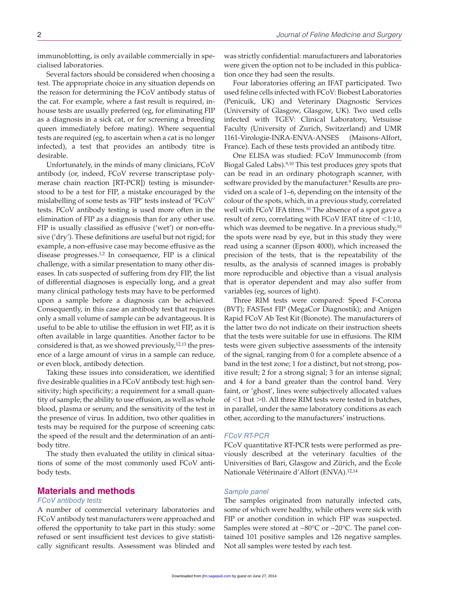immunoblotting, is only available commercially in specialised laboratories.

Several factors should be considered when choosing a test. The appropriate choice in any situation depends on the reason for determining the FCoV antibody status of the cat. For example, where a fast result is required, inhouse tests are usually preferred (eg, for eliminating FIP as a diagnosis in a sick cat, or for screening a breeding queen immediately before mating). Where sequential tests are required (eg, to ascertain when a cat is no longer infected), a test that provides an antibody titre is desirable.

Unfortunately, in the minds of many clinicians, FCoV antibody (or, indeed, FCoV reverse transcriptase polymerase chain reaction [RT-PCR]) testing is misunderstood to be a test for FIP, a mistake encouraged by the mislabelling of some tests as 'FIP' tests instead of 'FCoV' tests. FCoV antibody testing is used more often in the elimination of FIP as a diagnosis than for any other use. FIP is usually classified as effusive ('wet') or non-effusive ('dry'). These definitions are useful but not rigid; for example, a non-effusive case may become effusive as the disease progresses.1,2 In consequence, FIP is a clinical challenge, with a similar presentation to many other diseases. In cats suspected of suffering from dry FIP, the list of differential diagnoses is especially long, and a great many clinical pathology tests may have to be performed upon a sample before a diagnosis can be achieved. Consequently, in this case an antibody test that requires only a small volume of sample can be advantageous. It is useful to be able to utilise the effusion in wet FIP, as it is often available in large quantities. Another factor to be considered is that, as we showed previously,<sup>12,13</sup> the presence of a large amount of virus in a sample can reduce, or even block, antibody detection.

Taking these issues into consideration, we identified five desirable qualities in a FCoV antibody test: high sensitivity; high specificity; a requirement for a small quantity of sample; the ability to use effusion, as well as whole blood, plasma or serum; and the sensitivity of the test in the presence of virus. In addition, two other qualities in tests may be required for the purpose of screening cats: the speed of the result and the determination of an antibody titre.

The study then evaluated the utility in clinical situations of some of the most commonly used FCoV antibody tests.

# **Materials and methods**

#### *FCoV antibody tests*

A number of commercial veterinary laboratories and FCoV antibody test manufacturers were approached and offered the opportunity to take part in this study: some refused or sent insufficient test devices to give statistically significant results. Assessment was blinded and was strictly confidential: manufacturers and laboratories were given the option not to be included in this publication once they had seen the results.

Four laboratories offering an IFAT participated. Two used feline cells infected with FCoV: Biobest Laboratories (Penicuik, UK) and Veterinary Diagnostic Services (University of Glasgow, Glasgow, UK). Two used cells infected with TGEV: Clinical Laboratory, Vetsuisse Faculty (University of Zurich, Switzerland) and UMR 1161-Virologie-INRA-ENVA-ANSES (Maisons-Alfort, France). Each of these tests provided an antibody titre.

One ELISA was studied: FCoV Immunocomb (from Biogal Galed Labs).9,10 This test produces grey spots that can be read in an ordinary photograph scanner, with software provided by the manufacturer.<sup>9</sup> Results are provided on a scale of 1–6, depending on the intensity of the colour of the spots, which, in a previous study, correlated well with FCoV IFA titres.<sup>10</sup> The absence of a spot gave a result of zero, correlating with FCoV IFAT titre of <1:10, which was deemed to be negative. In a previous study, $10$ the spots were read by eye, but in this study they were read using a scanner (Epson 4000), which increased the precision of the tests, that is the repeatability of the results, as the analysis of scanned images is probably more reproducible and objective than a visual analysis that is operator dependent and may also suffer from variables (eg, sources of light).

Three RIM tests were compared: Speed F-Corona (BVT); FASTest FIP (MegaCor Diagnostik); and Anigen Rapid FCoV Ab Test Kit (Bionote). The manufacturers of the latter two do not indicate on their instruction sheets that the tests were suitable for use in effusions. The RIM tests were given subjective assessments of the intensity of the signal, ranging from 0 for a complete absence of a band in the test zone; 1 for a distinct, but not strong, positive result; 2 for a strong signal; 3 for an intense signal; and 4 for a band greater than the control band. Very faint, or 'ghost', lines were subjectively allocated values of <1 but >0. All three RIM tests were tested in batches, in parallel, under the same laboratory conditions as each other, according to the manufacturers' instructions.

# *FCoV RT-PCR*

FCoV quantitative RT-PCR tests were performed as previously described at the veterinary faculties of the Universities of Bari, Glasgow and Zürich, and the École Nationale Vétérinaire d'Alfort (ENVA).12,14

#### *Sample panel*

The samples originated from naturally infected cats, some of which were healthy, while others were sick with FIP or another condition in which FIP was suspected. Samples were stored at −80°C or −20°C. The panel contained 101 positive samples and 126 negative samples. Not all samples were tested by each test.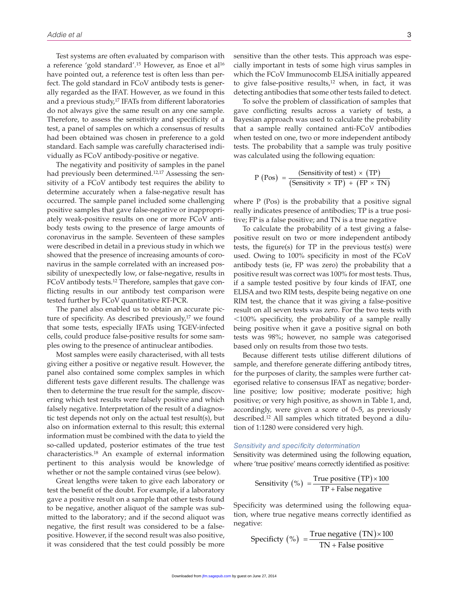Test systems are often evaluated by comparison with a reference 'gold standard'.15 However, as Enoe et al16 have pointed out, a reference test is often less than perfect. The gold standard in FCoV antibody tests is generally regarded as the IFAT. However, as we found in this and a previous study,<sup>17</sup> IFATs from different laboratories do not always give the same result on any one sample. Therefore, to assess the sensitivity and specificity of a test, a panel of samples on which a consensus of results had been obtained was chosen in preference to a gold standard. Each sample was carefully characterised individually as FCoV antibody-positive or negative.

The negativity and positivity of samples in the panel had previously been determined.<sup>12,17</sup> Assessing the sensitivity of a FCoV antibody test requires the ability to determine accurately when a false-negative result has occurred. The sample panel included some challenging positive samples that gave false-negative or inappropriately weak-positive results on one or more FCoV antibody tests owing to the presence of large amounts of coronavirus in the sample. Seventeen of these samples were described in detail in a previous study in which we showed that the presence of increasing amounts of coronavirus in the sample correlated with an increased possibility of unexpectedly low, or false-negative, results in FCoV antibody tests.12 Therefore, samples that gave conflicting results in our antibody test comparison were tested further by FCoV quantitative RT-PCR.

The panel also enabled us to obtain an accurate picture of specificity. As described previously,<sup>17</sup> we found that some tests, especially IFATs using TGEV-infected cells, could produce false-positive results for some samples owing to the presence of antinuclear antibodies.

Most samples were easily characterised, with all tests giving either a positive or negative result. However, the panel also contained some complex samples in which different tests gave different results. The challenge was then to determine the true result for the sample, discovering which test results were falsely positive and which falsely negative. Interpretation of the result of a diagnostic test depends not only on the actual test result(s), but also on information external to this result; this external information must be combined with the data to yield the so-called updated, posterior estimates of the true test characteristics.18 An example of external information pertinent to this analysis would be knowledge of whether or not the sample contained virus (see below).

Great lengths were taken to give each laboratory or test the benefit of the doubt. For example, if a laboratory gave a positive result on a sample that other tests found to be negative, another aliquot of the sample was submitted to the laboratory; and if the second aliquot was negative, the first result was considered to be a falsepositive. However, if the second result was also positive, it was considered that the test could possibly be more

sensitive than the other tests. This approach was especially important in tests of some high virus samples in which the FCoV Immunocomb ELISA initially appeared to give false-positive results,<sup>12</sup> when, in fact, it was detecting antibodies that some other tests failed to detect.

To solve the problem of classification of samples that gave conflicting results across a variety of tests, a Bayesian approach was used to calculate the probability that a sample really contained anti-FCoV antibodies when tested on one, two or more independent antibody tests. The probability that a sample was truly positive was calculated using the following equation:

$$
P (Pos) = \frac{(Sensitivity of test) \times (TP)}{(Sensitivity \times TP) + (FP \times TN)}
$$

where P (Pos) is the probability that a positive signal really indicates presence of antibodies; TP is a true positive; FP is a false positive; and TN is a true negative

To calculate the probability of a test giving a falsepositive result on two or more independent antibody tests, the figure(s) for TP in the previous test(s) were used. Owing to 100% specificity in most of the FCoV antibody tests (ie, FP was zero) the probability that a positive result was correct was 100% for most tests. Thus, if a sample tested positive by four kinds of IFAT, one ELISA and two RIM tests, despite being negative on one RIM test, the chance that it was giving a false-positive result on all seven tests was zero. For the two tests with <100% specificity, the probability of a sample really being positive when it gave a positive signal on both tests was 98%; however, no sample was categorised based only on results from those two tests.

Because different tests utilise different dilutions of sample, and therefore generate differing antibody titres, for the purposes of clarity, the samples were further categorised relative to consensus IFAT as negative; borderline positive; low positive; moderate positive; high positive; or very high positive, as shown in Table 1, and, accordingly, were given a score of 0–5, as previously described.12 All samples which titrated beyond a dilution of 1:1280 were considered very high.

#### *Sensitivity and specificity determination*

Sensitivity was determined using the following equation, where 'true positive' means correctly identified as positive:

Sensitivity (
$$
\%
$$
) = True positive (TP) × 100  
TP + False negative

Specificity was determined using the following equation, where true negative means correctly identified as negative:

$$
Specificity (\%) = \frac{True \ negative (TN) \times 100}{TN + False \ positive}
$$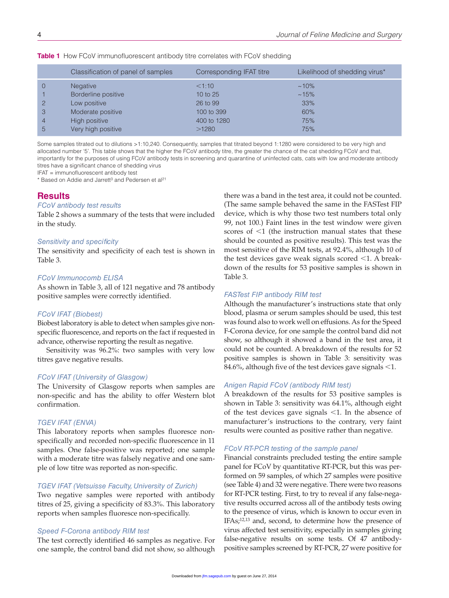|                | Classification of panel of samples | Corresponding IFAT titre | Likelihood of shedding virus* |
|----------------|------------------------------------|--------------------------|-------------------------------|
| $\Omega$       | <b>Negative</b>                    | $1:10^{-1}$              | $~10\%$                       |
|                | Borderline positive                | 10 to 25                 | $~15\%$                       |
| $\overline{2}$ | Low positive                       | 26 to 99                 | 33%                           |
| $\mathbf{3}$   | Moderate positive                  | 100 to 399               | 60%                           |
| $\overline{4}$ | High positive                      | 400 to 1280              | 75%                           |
| 5              | Very high positive                 | >1280                    | 75%                           |

**Table 1** How FCoV immunofluorescent antibody titre correlates with FCoV shedding

Some samples titrated out to dilutions >1:10,240. Consequently, samples that titrated beyond 1:1280 were considered to be very high and allocated number '5'. This table shows that the higher the FCoV antibody titre, the greater the chance of the cat shedding FCoV and that, importantly for the purposes of using FCoV antibody tests in screening and quarantine of uninfected cats, cats with low and moderate antibody titres have a significant chance of shedding virus

IFAT = immunofluorescent antibody test

\* Based on Addie and Jarrett3 and Pedersen et al21

# **Results**

#### *FCoV antibody test results*

Table 2 shows a summary of the tests that were included in the study.

#### *Sensitivity and specificity*

The sensitivity and specificity of each test is shown in Table 3.

#### *FCoV Immunocomb ELISA*

As shown in Table 3, all of 121 negative and 78 antibody positive samples were correctly identified.

#### *FCoV IFAT (Biobest)*

Biobest laboratory is able to detect when samples give nonspecific fluorescence, and reports on the fact if requested in advance, otherwise reporting the result as negative.

Sensitivity was 96.2%: two samples with very low titres gave negative results.

#### *FCoV IFAT (University of Glasgow)*

The University of Glasgow reports when samples are non-specific and has the ability to offer Western blot confirmation.

# *TGEV IFAT (ENVA)*

This laboratory reports when samples fluoresce nonspecifically and recorded non-specific fluorescence in 11 samples. One false-positive was reported; one sample with a moderate titre was falsely negative and one sample of low titre was reported as non-specific.

#### *TGEV IFAT (Vetsuisse Faculty, University of Zurich)*

Two negative samples were reported with antibody titres of 25, giving a specificity of 83.3%. This laboratory reports when samples fluoresce non-specifically.

#### *Speed F-Corona antibody RIM test*

The test correctly identified 46 samples as negative. For one sample, the control band did not show, so although

there was a band in the test area, it could not be counted. (The same sample behaved the same in the FASTest FIP device, which is why those two test numbers total only 99, not 100.) Faint lines in the test window were given scores of  $\leq 1$  (the instruction manual states that these should be counted as positive results). This test was the most sensitive of the RIM tests, at 92.4%, although 10 of the test devices gave weak signals scored <1. A breakdown of the results for 53 positive samples is shown in Table 3.

#### *FASTest FIP antibody RIM test*

Although the manufacturer's instructions state that only blood, plasma or serum samples should be used, this test was found also to work well on effusions. As for the Speed F-Corona device, for one sample the control band did not show, so although it showed a band in the test area, it could not be counted. A breakdown of the results for 52 positive samples is shown in Table 3: sensitivity was 84.6%, although five of the test devices gave signals  $\leq 1$ .

# *Anigen Rapid FCoV (antibody RIM test)*

A breakdown of the results for 53 positive samples is shown in Table 3: sensitivity was 64.1%, although eight of the test devices gave signals <1. In the absence of manufacturer's instructions to the contrary, very faint results were counted as positive rather than negative.

#### *FCoV RT-PCR testing of the sample panel*

Financial constraints precluded testing the entire sample panel for FCoV by quantitative RT-PCR, but this was performed on 59 samples, of which 27 samples were positive (see Table 4) and 32 were negative. There were two reasons for RT-PCR testing. First, to try to reveal if any false-negative results occurred across all of the antibody tests owing to the presence of virus, which is known to occur even in IFAs;<sup>12,13</sup> and, second, to determine how the presence of virus affected test sensitivity, especially in samples giving false-negative results on some tests. Of 47 antibodypositive samples screened by RT-PCR, 27 were positive for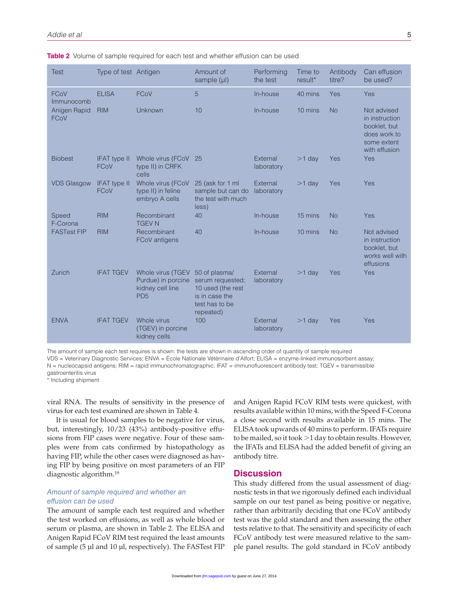| Test                        | Type of test Antigen        |                                                                                | Amount of<br>sample (µl)                                                                                | Performing<br>the test | Time to<br>result* | Antibody<br>titre? | Can effusion<br>be used?                                                                      |
|-----------------------------|-----------------------------|--------------------------------------------------------------------------------|---------------------------------------------------------------------------------------------------------|------------------------|--------------------|--------------------|-----------------------------------------------------------------------------------------------|
| FCoV<br>Immunocomb          | <b>ELISA</b>                | FCoV                                                                           | 5                                                                                                       | In-house               | 40 mins            | Yes                | Yes                                                                                           |
| Anigen Rapid<br><b>FCoV</b> | <b>RIM</b>                  | Unknown                                                                        | 10                                                                                                      | In-house               | 10 mins            | <b>No</b>          | Not advised<br>in instruction<br>booklet, but<br>does work to<br>some extent<br>with effusion |
| <b>Biobest</b>              | <b>IFAT type II</b><br>FCoV | Whole virus (FCoV<br>type II) in CRFK<br>cells                                 | 25                                                                                                      | External<br>laboratory | $>1$ day           | Yes                | Yes                                                                                           |
| <b>VDS Glasgow</b>          | <b>IFAT type II</b><br>FCoV | Whole virus (FCoV<br>type II) in feline<br>embryo A cells                      | 25 (ask for 1 ml<br>sample but can do<br>the test with much<br>less)                                    | External<br>laboratory | $>1$ day           | Yes                | Yes                                                                                           |
| Speed<br>F-Corona           | <b>RIM</b>                  | Recombinant<br><b>TGEV N</b>                                                   | 40                                                                                                      | In-house               | 15 mins            | No                 | Yes                                                                                           |
| <b>FASTest FIP</b>          | <b>RIM</b>                  | Recombinant<br>FCoV antigens                                                   | 40                                                                                                      | In-house               | 10 mins            | <b>No</b>          | Not advised<br>in instruction<br>booklet, but<br>works well with<br>effusions                 |
| Zurich                      | <b>IFAT TGEV</b>            | Whole virus (TGEV<br>Purdue) in porcine<br>kidney cell line<br>PD <sub>5</sub> | 50 of plasma/<br>serum requested;<br>10 used (the rest<br>is in case the<br>test has to be<br>repeated) | External<br>laboratory | $>1$ day           | Yes                | Yes                                                                                           |
| <b>ENVA</b>                 | <b>IFAT TGEV</b>            | Whole virus<br>(TGEV) in porcine<br>kidney cells                               | 100                                                                                                     | External<br>laboratory | $>1$ day           | Yes                | Yes                                                                                           |

**Table 2** Volume of sample required for each test and whether effusion can be used

The amount of sample each test requires is shown: the tests are shown in ascending order of quantity of sample required VDS = Veterinary Diagnostic Services; ENVA = École Nationale Vétérinaire d'Alfort; ELISA = enzyme-linked immunosorbent assay;

N = nucleocapsid antigens; RIM = rapid immunochromatographic; IFAT = immunofluorescent antibody test; TGEV = transmissible gastroenteritis virus

\* Including shipment

viral RNA. The results of sensitivity in the presence of virus for each test examined are shown in Table 4.

It is usual for blood samples to be negative for virus, but, interestingly, 10/23 (43%) antibody-positive effusions from FIP cases were negative. Four of these samples were from cats confirmed by histopathology as having FIP, while the other cases were diagnosed as having FIP by being positive on most parameters of an FIP diagnostic algorithm.19

# *Amount of sample required and whether an effusion can be used*

The amount of sample each test required and whether the test worked on effusions, as well as whole blood or serum or plasma, are shown in Table 2. The ELISA and Anigen Rapid FCoV RIM test required the least amounts of sample (5 µl and 10 µl, respectively). The FASTest FIP

and Anigen Rapid FCoV RIM tests were quickest, with results available within 10 mins, with the Speed F-Corona a close second with results available in 15 mins. The ELISA took upwards of 40 mins to perform. IFATs require to be mailed, so it took >1 day to obtain results. However, the IFATs and ELISA had the added benefit of giving an antibody titre.

# **Discussion**

This study differed from the usual assessment of diagnostic tests in that we rigorously defined each individual sample on our test panel as being positive or negative, rather than arbitrarily deciding that one FCoV antibody test was the gold standard and then assessing the other tests relative to that. The sensitivity and specificity of each FCoV antibody test were measured relative to the sample panel results. The gold standard in FCoV antibody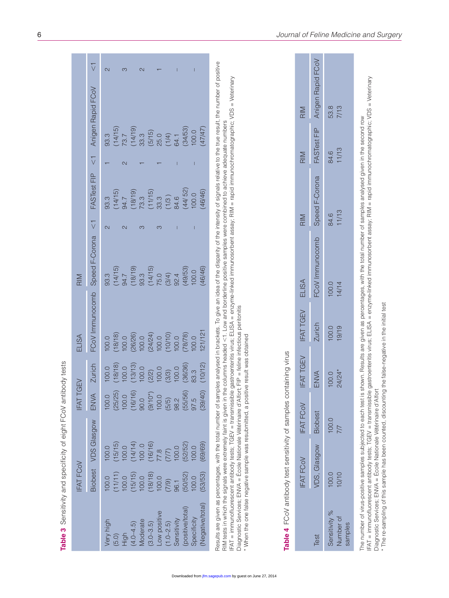| Table 3 Sensitivity and specificity of eight FCoV antibody tests                                                                                                                              |                  |             |              |         |                                                                                                                                                                      |                   |                          |                     |                      |                                                                                                                                                                                                                                                                                                                                                                                                  |                          |
|-----------------------------------------------------------------------------------------------------------------------------------------------------------------------------------------------|------------------|-------------|--------------|---------|----------------------------------------------------------------------------------------------------------------------------------------------------------------------|-------------------|--------------------------|---------------------|----------------------|--------------------------------------------------------------------------------------------------------------------------------------------------------------------------------------------------------------------------------------------------------------------------------------------------------------------------------------------------------------------------------------------------|--------------------------|
|                                                                                                                                                                                               | <b>IFAT FCOV</b> |             | IFAT TGEV    |         | ELISA                                                                                                                                                                | RIM               |                          |                     |                      |                                                                                                                                                                                                                                                                                                                                                                                                  |                          |
|                                                                                                                                                                                               | Biobest          | VDS Glasgow | ENVA         | Zurich  | FCoV Immunocomb                                                                                                                                                      | Speed F-Corona <1 |                          | FASTest FIP         | $\frac{1}{\sqrt{2}}$ | Anigen Rapid FCoV                                                                                                                                                                                                                                                                                                                                                                                | $\overline{\vee}$        |
| Very high                                                                                                                                                                                     | 100.0            | 100.0       | 100.0        | 0.001   | 100.0                                                                                                                                                                | 93.3              | $\overline{\mathcal{C}}$ | 93.3                |                      | 93.3                                                                                                                                                                                                                                                                                                                                                                                             | $\overline{\mathcal{C}}$ |
| (5.0)                                                                                                                                                                                         | (11/11)          | (15/15)     | (25/25)      | (18/18) | (18/18)                                                                                                                                                              | (14/15)           |                          | (14/15)             |                      | (14/15)                                                                                                                                                                                                                                                                                                                                                                                          |                          |
| High                                                                                                                                                                                          | 100.0            | 100.0       | 100.0        | 00.0    | 100.0                                                                                                                                                                | 94.7              | $\overline{\mathcal{C}}$ | 94.7                | $\mathbf{\Omega}$    | 73.7                                                                                                                                                                                                                                                                                                                                                                                             | ო                        |
| $(4.0 - 4.5)$                                                                                                                                                                                 | (15/15)          | (14/14)     | (16/16)      | (13/13) | (26/26)                                                                                                                                                              | (18/19)           |                          | (918/1)             |                      | (14/19)                                                                                                                                                                                                                                                                                                                                                                                          |                          |
| Moderate                                                                                                                                                                                      | 100.0            | 100.0       | 0.06         | 100.0   | 100.0                                                                                                                                                                | 93.3              | က                        | 73.3                |                      | 33.3                                                                                                                                                                                                                                                                                                                                                                                             | $\sim$                   |
| $(3.0 - 3.5)$                                                                                                                                                                                 | (18/18)          | (16/16)     | $(9/10^{*})$ | (2/2)   | (24/24)                                                                                                                                                              | (14/15)           |                          | (11/15)             |                      |                                                                                                                                                                                                                                                                                                                                                                                                  |                          |
| Low positive                                                                                                                                                                                  | 100.0            | 8'2.        | 100.0        | 100.0   | 100.0                                                                                                                                                                | 75.0              | ო                        |                     |                      |                                                                                                                                                                                                                                                                                                                                                                                                  |                          |
| $(1.0 - 2.5)$                                                                                                                                                                                 | (7/9)            | (1/2)       | (5/5)        | (3/3)   | (0101)                                                                                                                                                               | (3/4)             |                          | $33.3$<br>( $1/3$ ) |                      | $(5/15)$<br>25.0<br>$(1/4)$                                                                                                                                                                                                                                                                                                                                                                      |                          |
| Sensitivity                                                                                                                                                                                   | 96.1             | 100.0       | 98.2         | 100.0   | 100.0                                                                                                                                                                | 92.4              |                          | 84.6                |                      | 64.1                                                                                                                                                                                                                                                                                                                                                                                             |                          |
| (positive/total)                                                                                                                                                                              | (50/52)          | (52/52)     | (55/56)      | (36/36) | (78/78)                                                                                                                                                              | (49/53)           |                          | $ 44/52\rangle$     |                      | (34/53)                                                                                                                                                                                                                                                                                                                                                                                          |                          |
| Specificity                                                                                                                                                                                   | 100.0            | 100.0       | 97.5         | 83.3    | 0.00                                                                                                                                                                 | 100.0             |                          | 100.0               |                      | 100.0                                                                                                                                                                                                                                                                                                                                                                                            |                          |
| (Negative/total)                                                                                                                                                                              | (53/53)          | (69/69)     | (39/40)      | (10/12) | 121/121                                                                                                                                                              | (46/46)           |                          | (46/46)             |                      | (47/47)                                                                                                                                                                                                                                                                                                                                                                                          |                          |
| Diagnostic Services; ENVA = École Nationale Vétérinaire d'Alfort; FIP = feline infectious peritonitis<br>* When the one false negative sample was resubmitted, a positive result was obtained |                  |             |              |         | RIM tests in which the signals were extremely faint is given in the columns headed <1. Low and borderline positive samples were combined to achieve adequate numbers |                   |                          |                     |                      | Results are given as percentages, with the total number of samples analysed in brackets. To give an idea of the disparity of the intensity of signals relative to the true result, the number of positive<br>IFAT = immunofluorescent antibody tests; TGEV = transmissible gastroenteritis virus; ELISA = enzyme-linked immunosorbent assay; RIM = rapid immunochromatographic; VDS = Veterinary |                          |
| Table 4 FCoV antibody test sensitivity of samples containing virus                                                                                                                            |                  |             |              |         |                                                                                                                                                                      |                   |                          |                     |                      |                                                                                                                                                                                                                                                                                                                                                                                                  |                          |

**Table 4** FCoV antibody test sensitivity of samples containing virus .<br>פ Σ  $\bar{\circ}$ nnin  $\widetilde{\sigma}$  $\frac{1}{10}$  $\frac{1}{2}$ 

|                                      | FAT FCOV            | FAT FCON       | FAT TGEV          | <b>IFAT TGEV</b> | <b>ELISA</b>    | RIM            | RIM           | RIM                           |
|--------------------------------------|---------------------|----------------|-------------------|------------------|-----------------|----------------|---------------|-------------------------------|
| Test                                 | <b>VDS, Glasgow</b> | <b>Biobest</b> | ENVA              | Zurich           | FCoV Immunocomb | Speed F-Corona |               | FASTest FIP Anigen Rapid FCoV |
| sensitivity %<br>lumber of<br>amples | 100.0<br>10/10      | 100.0<br>7/7   | $100.0$<br>24/24* | 100.0<br>19/19   | 100.0<br>14/14  | 84.6<br>11/13  | 84.6<br>11/13 | 53.8<br>7/13                  |
|                                      |                     |                |                   |                  |                 |                |               |                               |

The number of virus-positive samples subjected to each test is shown. Results are given as percentages, with the total number of samples analysed given in the second row<br>IFAT = immunofluorescent antibody tests; TGEV = tran IFAT = immunofluorescent antibody tests; TGEV = transmissible gastroenteritis virus; ELISA = enzyme-linked immunosorbent assay; RIM = rapid immunochromatographic; VDS = Veterinary The number of virus-positive samples subjected to each test is shown. Results are given as percentages, with the total number of samples analysed given in the second row Diagnostic Services; ENVA = École Nationale Vétérinaire d'Alfort

\* The re-sampling of this sample has been counted, discounting the false-negative in the initial test

 $\rightarrow$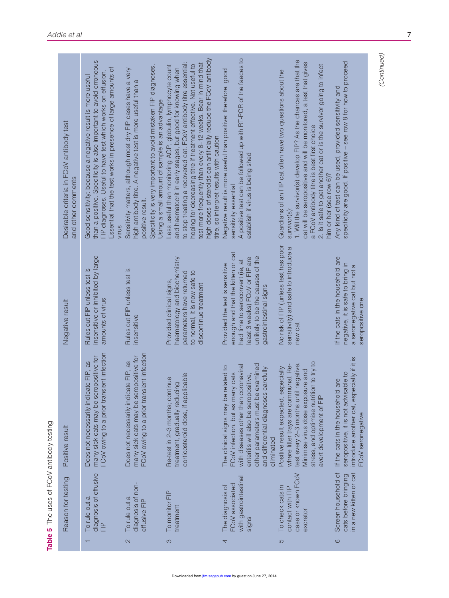|                                              | Desirable criteria in FCoV antibody test<br>and other comments | than a positive. Specificity is also important to avoid erroneous<br>Essential that the test works in presence of large amounts of<br>FIP diagnoses. Useful to have test which works on effusion.<br>Good sensitivity: because a negative result is more useful<br>Virus | Specificity is very important to avoid mistaken FIP diagnoses.<br>Sensitivity matters, although most dry FIP cases have a very<br>high antibody titre. A negative test is more useful than a<br>Using a small amount of sample is an advantage<br>positive result. | high doses of steroids can artificially reduce the FCoV antibody<br>to stop treating a recovered cat. FCoV antibody titre essential:<br>test more frequently than every 8-12 weeks. Bear in mind that<br>hoping for decreasing titre if treatment effective. Not useful to<br>Less useful than monitoring AGP, globulin, lymphocyte count<br>and haematocrit in early stages, but good for knowing when<br>titre, so interpret results with caution | A positive test can be followed up with RT-PCR of the faeces to<br>Negative result is more useful than positive; therefore, good<br>establish if virus is being shed<br>sensitivity essential                                                       | 1. Will the survivor(s) develop FIP? As the chances are that the<br>cat will be seropositive and will be monitored, a test that gives<br>2. Is it safe to get another cat or is the survivor going to infect<br>Guardians of an FIP cat often have two questions about the<br>a FCoV antibody titre is best first choice<br>him or her (see row 6)?<br>survivor(s): | specificity are good. If positive - see row 8 for how to proceed<br>Any kind of test can be used, provided sensitivity and                  |
|----------------------------------------------|----------------------------------------------------------------|--------------------------------------------------------------------------------------------------------------------------------------------------------------------------------------------------------------------------------------------------------------------------|--------------------------------------------------------------------------------------------------------------------------------------------------------------------------------------------------------------------------------------------------------------------|-----------------------------------------------------------------------------------------------------------------------------------------------------------------------------------------------------------------------------------------------------------------------------------------------------------------------------------------------------------------------------------------------------------------------------------------------------|-----------------------------------------------------------------------------------------------------------------------------------------------------------------------------------------------------------------------------------------------------|---------------------------------------------------------------------------------------------------------------------------------------------------------------------------------------------------------------------------------------------------------------------------------------------------------------------------------------------------------------------|---------------------------------------------------------------------------------------------------------------------------------------------|
|                                              | Negative result                                                | insensitive or inhibited by large<br>Rules out FIP unless test is<br>amounts of virus                                                                                                                                                                                    | Rules out FIP unless test is<br>insensitive                                                                                                                                                                                                                        | haematology and biochemistry<br>to normal, it is now safe to<br>parameters have returned<br>Provided clinical signs,<br>discontinue treatment                                                                                                                                                                                                                                                                                                       | enough and that the kitten or cat<br>unlikely to be the causes of the<br>least 3 weeks) FCoV or FIP are<br>had time to seroconvert (ie, at<br>Provided the test is sensitive<br>gastrointestinal signs                                              | No risk of FIP (unless test has poor<br>sensitivity) and safe to introduce a<br>new cat                                                                                                                                                                                                                                                                             | If the cats in the household are<br>negative, it is safe to bring in<br>a seronegative cat but not a<br>seropositive one                    |
|                                              | Positive result                                                | FCoV owing to a prior transient infection<br>many sick cats may be seropositive for<br>Does not necessarily indicate FIP, as                                                                                                                                             | FCoV owing to a prior transient infection<br>many sick cats may be seropositive for<br>Does not necessarily indicate FIP, as                                                                                                                                       | corticosteroid dose, if applicable<br>Re-test in 2-3 months; continue<br>treatment, gradually reducing                                                                                                                                                                                                                                                                                                                                              | other parameters must be examined<br>The clinical signs may be related to<br>with diseases other than coronaviral<br>and differential diagnoses carefully<br>FCoV infection, but as many cats<br>enteritis will also be seropositive,<br>eliminated | stress, and optimise nutrition to try to<br>test every 2-3 months until negative.<br>where litter trays are communal. Re-<br>Positive result expected, especially<br>Minimise virus dose exposure and<br>avert development of FIP                                                                                                                                   | introduce another cat, especially if it is<br>seropositive, it is not advisable to<br>If the cats in the household are<br>FCoV seronegative |
| The uses of FCoV antibody testing<br>Table 5 | Reason for testing                                             | diagnosis of effusive<br>To rule out a<br>$\frac{\rho}{\Pi}$<br>$\overline{ }$                                                                                                                                                                                           | diagnosis of non-<br>To rule out a<br>effusive FIP<br>$\sim$                                                                                                                                                                                                       | To monitor FIP<br>treatment<br>3                                                                                                                                                                                                                                                                                                                                                                                                                    | with gastrointestinal<br>FCoV associated<br>The diagnosis of<br>signs<br>4                                                                                                                                                                          | case or known FCoV<br>To check cats in<br>contact with FIP<br>excretor<br>5                                                                                                                                                                                                                                                                                         | Screen household of<br>in a new kitten or cat<br>cats before bringing<br>6                                                                  |

*Addie et al*

*(Continued)*

(Continued)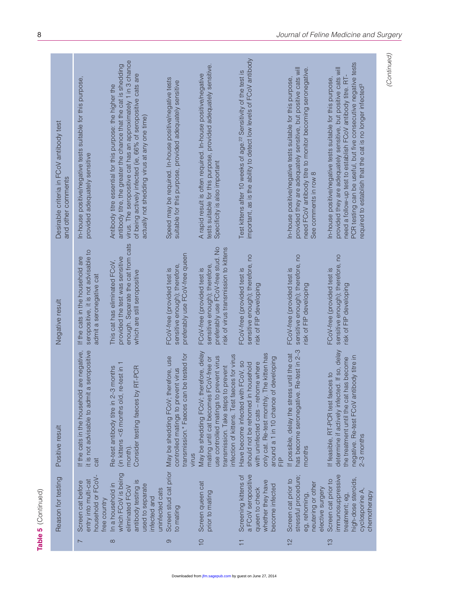| n      |
|--------|
| r<br>l |
|        |
|        |

|                | Reason for testing                                                                                                                        | Positive result                                                                                                                                                                                                 | Negative result                                                                                                                            | Desirable criteria in FCoV antibody test<br>and other comments                                                                                                                                                                                                                                                                          |
|----------------|-------------------------------------------------------------------------------------------------------------------------------------------|-----------------------------------------------------------------------------------------------------------------------------------------------------------------------------------------------------------------|--------------------------------------------------------------------------------------------------------------------------------------------|-----------------------------------------------------------------------------------------------------------------------------------------------------------------------------------------------------------------------------------------------------------------------------------------------------------------------------------------|
| $\overline{ }$ | nousehold or FCoV-<br>entry into multi-cat<br>Screen cat before<br>free country                                                           | seropositive<br>If the cats in the household are negative,<br>it is not advisable to admit a<br>cat                                                                                                             | seropositive, it is not advisable to<br>If the cats in the household are<br>admit a seronegative cat                                       | In-house positive/negative tests suitable for this purpose,<br>provided adequately sensitive                                                                                                                                                                                                                                            |
| $\infty$       | which FCoV is being<br>antibody testing is<br>In a household in<br>used to separate<br>eliminated FCoV<br>uninfected cats<br>infected and | (in kittens <6 months old, re-test in 1<br>Consider testing faeces by RT-PCR<br>Re-test antibody titre in 2-3 months<br>month).                                                                                 | enough. Separate the cat from cats<br>provided the test was sensitive<br>This cat has eliminated FCoV,<br>which are still seropositive     | virus. The seropositive cat has an approximately 1 in 3 chance<br>antibody titre, the greater the chance that the cat is shedding<br>of being actively infected (ie, 66% of seropositive cats are<br>Antibody titre essential for this purpose: the higher the<br>actually not shedding virus at any one time)                          |
| ၜ              | Screen stud cat prior<br>to mating                                                                                                        | transmission.* Faeces can be tested for<br>May be shedding FCoV; therefore, use<br>controlled matings to prevent virus<br>virus                                                                                 | preferably use FCoV-free queen<br>sensitive enough); therefore,<br>FCoV-free (provided test is                                             | Speed may be required. In-house positive/negative tests<br>suitable for this purpose, provided adequately sensitive                                                                                                                                                                                                                     |
| $\circ$        | Screen queen cat<br>prior to mating                                                                                                       | May be shedding FCoV; therefore, delay<br>nfection of kittens. Test faeces for virus<br>use controlled matings to prevent virus<br>mating until cat becomes FCoV-free or<br>transmission. Take steps to prevent | preferably use FCoV-free stud. No<br>risk of virus transmission to kittens<br>sensitive enough); therefore,<br>FCoV-free (provided test is | tests suitable for this purpose, provided adequately sensitive<br>A rapid result is often required. In-house positive/negative<br>Specificity is also important                                                                                                                                                                         |
|                | a FCoV seropositive<br>Screening kittens of<br>whether they have<br>become infected<br>queen to check                                     | only cat. Re-test monthly. The kitten has<br>around a 1 in 10 chance of developing<br>Have become infected with FCoV, so<br>with uninfected cats - rehome where<br>should not be rehomed in household<br>읖      | sensitive enough); therefore, no<br>FCoV-free (provided test is<br>risk of FIP developing                                                  | important, as is the ability to detect low levels of FCoV antibody<br>Test kittens after 10 weeks of age. <sup>22</sup> Sensitivity of the test is                                                                                                                                                                                      |
| 2              | stressful procedure;<br>Screen cat prior to<br>neutering or other<br>elective surgery<br>eg, rehoming,                                    | nas become seronegative. Re-test in 2-3<br>If possible, delay the stress until the cat<br>months                                                                                                                | sensitive enough); therefore, no<br>FCoV-free (provided test is<br>risk of FIP developing                                                  | provided they are adequately sensitive, but positive cats will<br>need FCoV antibody titre to monitor becoming seronegative.<br>In-house positive/negative tests suitable for this purpose,<br>See comments in row 8                                                                                                                    |
| S              | immunosuppressive<br>high-dose steroids,<br>Screen cat prior to<br>cyclosporine A,<br>chemotherapy<br>treatment; eg,                      | determine if actively infected. If so, delay<br>negative. Re-test FCoV antibody titre in<br>the treatment until the cat has become<br>If feasible, RT-PCR test faeces to<br>2-3 months                          | sensitive enough); therefore, no<br>FCoV-free (provided test is<br>risk of FIP developing                                                  | PCR testing can be useful, but five consecutive negative tests<br>provided they are adequately sensitive, but positive cats will<br>need a follow-up test to establish FCoV antibody titre. RT-<br>In-house positive/negative tests suitable for this purpose,<br>required to establish that the cat is no longer infected <sup>3</sup> |
|                |                                                                                                                                           |                                                                                                                                                                                                                 |                                                                                                                                            |                                                                                                                                                                                                                                                                                                                                         |

*(Continued)*

(Continued)

Π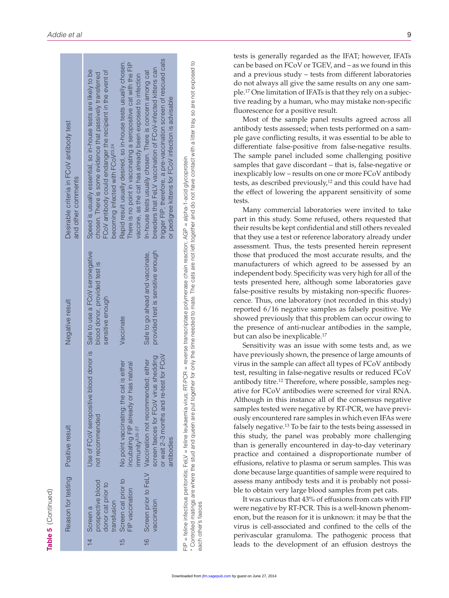| Table 5 (Continued)                                                  |                                                                                                                                                               |                                                                      |                                                                                                                                                                                                                                                     |  |
|----------------------------------------------------------------------|---------------------------------------------------------------------------------------------------------------------------------------------------------------|----------------------------------------------------------------------|-----------------------------------------------------------------------------------------------------------------------------------------------------------------------------------------------------------------------------------------------------|--|
| Reason for testing                                                   | Positive result                                                                                                                                               | Negative result                                                      | Desirable criteria in FCoV antibody test<br>and other comments                                                                                                                                                                                      |  |
| prospective blood<br>donor cat prior to<br>transfusion<br>14 Screena | Use of FCoV seropositive blood donor is Safe to use a FCoV seronegative<br>not recommended                                                                    | blood donor, provided test is<br>sensitive enough                    | Speed is usually essential, so in-house tests are likely to be<br>FCoV antibody could endanger the recipient in the event of<br>chosen. There is some evidence that passively transferred<br>becoming infected with FCoV <sup>23,24</sup>           |  |
| 15 Screen cat prior to<br>FIP vaccination                            | No point vaccinating: the cat is either<br>incubating FIP already or has natural<br>immunity <sup>3,25–27</sup>                                               | Vaccinate                                                            | Rapid result usually desired, so in-house tests usually chosen.<br>There is no point in vaccinating a seropositive cat with the FIP<br>vaccine, as the cat has already been exposed to infection                                                    |  |
| vaccination                                                          | or wait 2-3 months and re-test for FCoV<br>screen faeces for FCoV virus shedding<br>16 Screen prior to FeLV Vaccination not recommended; either<br>antibodies | provided test is sensitive enough<br>Safe to go ahead and vaccinate, | trigger FIP; therefore, a pre-vaccination screen of rescued cats<br>breeders that FeLV vaccination of FCoV-infected kittens can<br>In-house tests usually chosen. There is concern among cat<br>or pedigree kittens for FCoV infection is advisable |  |
| each other's taeces                                                  | FIP = feline infectious peritonitis; FeLV = feline leukaemia virus; RT-PCR = reverse transcriptase polymerase chain reaction; AGP = alpha-1-acid glycoprotein |                                                                      | ' Controlled matings are where the stud and queen are put together for only the time needed to mate. The cats are not left together and do not have contact with a litter tray, so are not exposed to                                               |  |

tests is generally regarded as the IFAT; however, IFATs can be based on FCoV or TGEV, and – as we found in this and a previous study – tests from different laboratories do not always all give the same results on any one sample.17 One limitation of IFATs is that they rely on a subjective reading by a human, who may mistake non-specific fluorescence for a positive result.

Most of the sample panel results agreed across all antibody tests assessed; when tests performed on a sample gave conflicting results, it was essential to be able to differentiate false-positive from false-negative results. The sample panel included some challenging positive samples that gave discordant – that is, false-negative or inexplicably low – results on one or more FCoV antibody tests, as described previously,<sup>12</sup> and this could have had the effect of lowering the apparent sensitivity of some tests.

Many commercial laboratories were invited to take part in this study. Some refused, others requested that their results be kept confidential and still others revealed that they use a test or reference laboratory already under assessment. Thus, the tests presented herein represent those that produced the most accurate results, and the manufacturers of which agreed to be assessed by an independent body. Specificity was very high for all of the tests presented here, although some laboratories gave false-positive results by mistaking non-specific fluorescence. Thus, one laboratory (not recorded in this study) reported 6/16 negative samples as falsely positive. We showed previously that this problem can occur owing to the presence of anti-nuclear antibodies in the sample, but can also be inexplicable.17

Sensitivity was an issue with some tests and, as we have previously shown, the presence of large amounts of virus in the sample can affect all types of FCoV antibody test, resulting in false-negative results or reduced FCoV antibody titre.12 Therefore, where possible, samples negative for FCoV antibodies were screened for viral RNA. Although in this instance all of the consensus negative samples tested were negative by RT-PCR, we have previously encountered rare samples in which even IFAs were falsely negative.13 To be fair to the tests being assessed in this study, the panel was probably more challenging than is generally encountered in day-to-day veterinary practice and contained a disproportionate number of effusions, relative to plasma or serum samples. This was done because large quantities of sample were required to assess many antibody tests and it is probably not possible to obtain very large blood samples from pet cats.

It was curious that 43% of effusions from cats with FIP were negative by RT-PCR. This is a well-known phenomenon, but the reason for it is unknown: it may be that the virus is cell-associated and confined to the cells of the perivascular granuloma. The pathogenic process that leads to the development of an effusion destroys the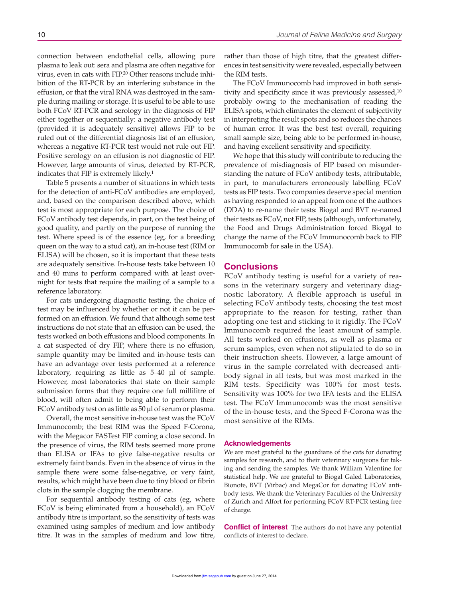connection between endothelial cells, allowing pure plasma to leak out: sera and plasma are often negative for virus, even in cats with FIP.20 Other reasons include inhibition of the RT-PCR by an interfering substance in the effusion, or that the viral RNA was destroyed in the sample during mailing or storage. It is useful to be able to use both FCoV RT-PCR and serology in the diagnosis of FIP either together or sequentially: a negative antibody test (provided it is adequately sensitive) allows FIP to be ruled out of the differential diagnosis list of an effusion, whereas a negative RT-PCR test would not rule out FIP. Positive serology on an effusion is not diagnostic of FIP. However, large amounts of virus, detected by RT-PCR, indicates that FIP is extremely likely.<sup>1</sup>

Table 5 presents a number of situations in which tests for the detection of anti-FCoV antibodies are employed, and, based on the comparison described above, which test is most appropriate for each purpose. The choice of FCoV antibody test depends, in part, on the test being of good quality, and partly on the purpose of running the test. Where speed is of the essence (eg, for a breeding queen on the way to a stud cat), an in-house test (RIM or ELISA) will be chosen, so it is important that these tests are adequately sensitive. In-house tests take between 10 and 40 mins to perform compared with at least overnight for tests that require the mailing of a sample to a reference laboratory.

For cats undergoing diagnostic testing, the choice of test may be influenced by whether or not it can be performed on an effusion. We found that although some test instructions do not state that an effusion can be used, the tests worked on both effusions and blood components. In a cat suspected of dry FIP, where there is no effusion, sample quantity may be limited and in-house tests can have an advantage over tests performed at a reference laboratory, requiring as little as 5–40 µl of sample. However, most laboratories that state on their sample submission forms that they require one full millilitre of blood, will often admit to being able to perform their FCoV antibody test on as little as 50 µl of serum or plasma.

Overall, the most sensitive in-house test was the FCoV Immunocomb; the best RIM was the Speed F-Corona, with the Megacor FASTest FIP coming a close second. In the presence of virus, the RIM tests seemed more prone than ELISA or IFAs to give false-negative results or extremely faint bands. Even in the absence of virus in the sample there were some false-negative, or very faint, results, which might have been due to tiny blood or fibrin clots in the sample clogging the membrane.

For sequential antibody testing of cats (eg, where FCoV is being eliminated from a household), an FCoV antibody titre is important, so the sensitivity of tests was examined using samples of medium and low antibody titre. It was in the samples of medium and low titre, rather than those of high titre, that the greatest differences in test sensitivity were revealed, especially between the RIM tests.

The FCoV Immunocomb had improved in both sensitivity and specificity since it was previously assessed,<sup>10</sup> probably owing to the mechanisation of reading the ELISA spots, which eliminates the element of subjectivity in interpreting the result spots and so reduces the chances of human error. It was the best test overall, requiring small sample size, being able to be performed in-house, and having excellent sensitivity and specificity.

We hope that this study will contribute to reducing the prevalence of misdiagnosis of FIP based on misunderstanding the nature of FCoV antibody tests, attributable, in part, to manufacturers erroneously labelling FCoV tests as FIP tests. Two companies deserve special mention as having responded to an appeal from one of the authors (DDA) to re-name their tests: Biogal and BVT re-named their tests as FCoV, not FIP, tests (although, unfortunately, the Food and Drugs Administration forced Biogal to change the name of the FCoV Immunocomb back to FIP Immunocomb for sale in the USA).

# **Conclusions**

FCoV antibody testing is useful for a variety of reasons in the veterinary surgery and veterinary diagnostic laboratory. A flexible approach is useful in selecting FCoV antibody tests, choosing the test most appropriate to the reason for testing, rather than adopting one test and sticking to it rigidly. The FCoV Immunocomb required the least amount of sample. All tests worked on effusions, as well as plasma or serum samples, even when not stipulated to do so in their instruction sheets. However, a large amount of virus in the sample correlated with decreased antibody signal in all tests, but was most marked in the RIM tests. Specificity was 100% for most tests. Sensitivity was 100% for two IFA tests and the ELISA test. The FCoV Immunocomb was the most sensitive of the in-house tests, and the Speed F-Corona was the most sensitive of the RIMs.

#### **Acknowledgements**

We are most grateful to the guardians of the cats for donating samples for research, and to their veterinary surgeons for taking and sending the samples. We thank William Valentine for statistical help. We are grateful to Biogal Galed Laboratories, Bionote, BVT (Virbac) and MegaCor for donating FCoV antibody tests. We thank the Veterinary Faculties of the University of Zurich and Alfort for performing FCoV RT-PCR testing free of charge.

**Conflict of interest** The authors do not have any potential conflicts of interest to declare.